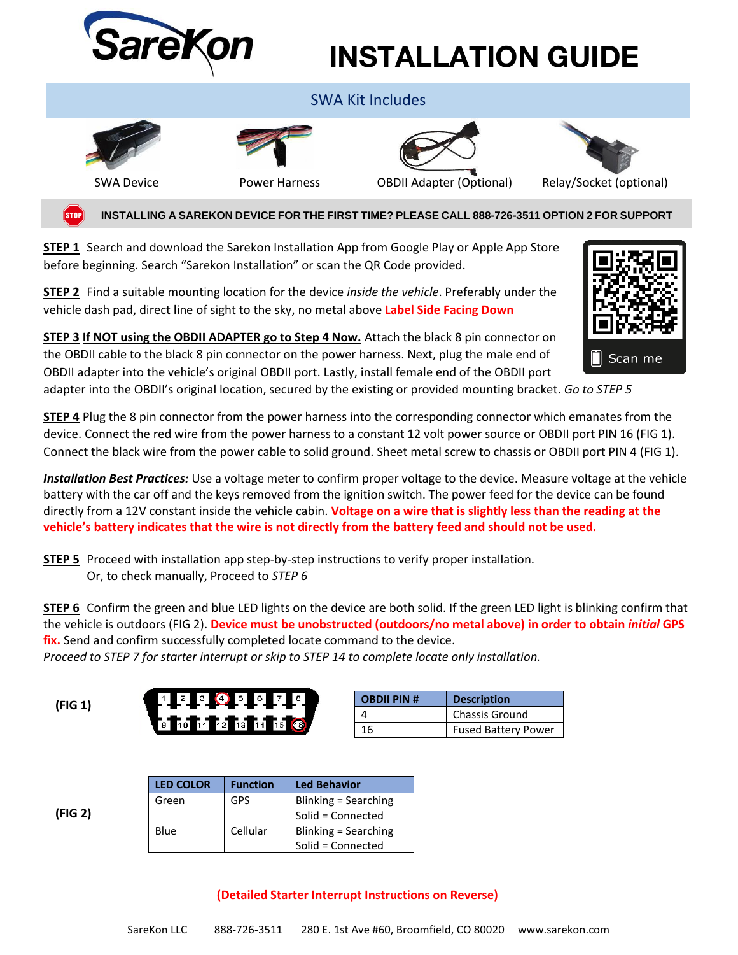

## **INSTALLATION GUIDE**

| <b>SWA Kit Includes</b> |                      |                                 |                         |  |  |
|-------------------------|----------------------|---------------------------------|-------------------------|--|--|
| <b>SWA Device</b>       | <b>Power Harness</b> | <b>OBDII Adapter (Optional)</b> | Relay/Socket (optional) |  |  |
|                         |                      |                                 |                         |  |  |

 **INSTALLING A SAREKON DEVICE FOR THE FIRST TIME? PLEASE CALL 888-726-3511 OPTION 2 FOR SUPPORT STOP** 

**STEP 1** Search and download the Sarekon Installation App from Google Play or Apple App Store before beginning. Search "Sarekon Installation" or scan the QR Code provided.

**STEP 2** Find a suitable mounting location for the device *inside the vehicle*. Preferably under the vehicle dash pad, direct line of sight to the sky, no metal above **Label Side Facing Down**



**STEP 3 If NOT using the OBDII ADAPTER go to Step 4 Now.** Attach the black 8 pin connector on the OBDII cable to the black 8 pin connector on the power harness. Next, plug the male end of OBDII adapter into the vehicle's original OBDII port. Lastly, install female end of the OBDII port

adapter into the OBDII's original location, secured by the existing or provided mounting bracket. *Go to STEP 5*

**STEP 4** Plug the 8 pin connector from the power harness into the corresponding connector which emanates from the device. Connect the red wire from the power harness to a constant 12 volt power source or OBDII port PIN 16 (FIG 1). Connect the black wire from the power cable to solid ground. Sheet metal screw to chassis or OBDII port PIN 4 (FIG 1).

*Installation Best Practices:* Use a voltage meter to confirm proper voltage to the device. Measure voltage at the vehicle battery with the car off and the keys removed from the ignition switch. The power feed for the device can be found directly from a 12V constant inside the vehicle cabin. **Voltage on a wire that is slightly less than the reading at the vehicle's battery indicates that the wire is not directly from the battery feed and should not be used.**

**STEP 5** Proceed with installation app step-by-step instructions to verify proper installation. Or, to check manually, Proceed to *STEP 6*

**STEP 6** Confirm the green and blue LED lights on the device are both solid. If the green LED light is blinking confirm that the vehicle is outdoors (FIG 2). **Device must be unobstructed (outdoors/no metal above) in order to obtain** *initial* **GPS fix.** Send and confirm successfully completed locate command to the device.

*Proceed to STEP 7 for starter interrupt or skip to STEP 14 to complete locate only installation.*

| (FIG 1)                                                                                      | <b>OBDII PIN#</b> | <b>Description</b>         |
|----------------------------------------------------------------------------------------------|-------------------|----------------------------|
| $\sqrt{3}$ $\sqrt{11}$ $\sqrt{11}$ $\sqrt{2}$ $\sqrt{13}$ $\sqrt{14}$ $\sqrt{15}$ $\sqrt{6}$ |                   | <b>Chassis Ground</b>      |
|                                                                                              | 16                | <b>Fused Battery Power</b> |

 **(FIG 2)**

| <b>LED COLOR</b> | <b>Function</b> | <b>Led Behavior</b>  |
|------------------|-----------------|----------------------|
| Green            | GPS             | Blinking = Searching |
|                  |                 | Solid = Connected    |
| Blue             | Cellular        | Blinking = Searching |
|                  |                 | Solid = Connected    |

## **(Detailed Starter Interrupt Instructions on Reverse)**